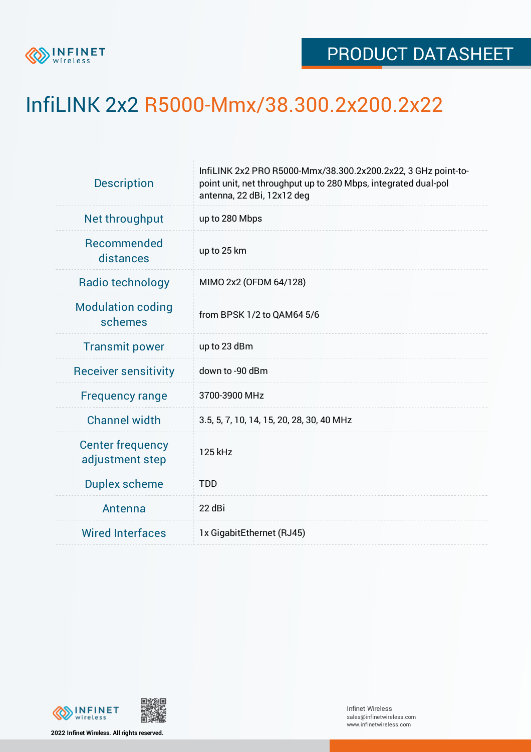

## InfiLINK 2x2 R5000-Mmx/38.300.2x200.2x22

| <b>Description</b>                         | InfiLINK 2x2 PRO R5000-Mmx/38.300.2x200.2x22, 3 GHz point-to-<br>point unit, net throughput up to 280 Mbps, integrated dual-pol<br>antenna, 22 dBi, 12x12 deg |  |  |  |  |
|--------------------------------------------|---------------------------------------------------------------------------------------------------------------------------------------------------------------|--|--|--|--|
| Net throughput                             | up to 280 Mbps                                                                                                                                                |  |  |  |  |
| Recommended<br>distances                   | up to 25 km                                                                                                                                                   |  |  |  |  |
| Radio technology                           | MIMO 2x2 (OFDM 64/128)                                                                                                                                        |  |  |  |  |
| <b>Modulation coding</b><br>schemes        | from BPSK 1/2 to QAM64 5/6                                                                                                                                    |  |  |  |  |
| <b>Transmit power</b>                      | up to 23 dBm                                                                                                                                                  |  |  |  |  |
| <b>Receiver sensitivity</b>                | down to -90 dBm                                                                                                                                               |  |  |  |  |
| <b>Frequency range</b>                     | 3700-3900 MHz                                                                                                                                                 |  |  |  |  |
| <b>Channel width</b>                       | 3.5, 5, 7, 10, 14, 15, 20, 28, 30, 40 MHz                                                                                                                     |  |  |  |  |
| <b>Center frequency</b><br>adjustment step | 125 kHz                                                                                                                                                       |  |  |  |  |
| <b>Duplex scheme</b>                       | <b>TDD</b>                                                                                                                                                    |  |  |  |  |
| Antenna                                    | 22 dBi                                                                                                                                                        |  |  |  |  |
| <b>Wired Interfaces</b>                    | 1x GigabitEthernet (RJ45)                                                                                                                                     |  |  |  |  |



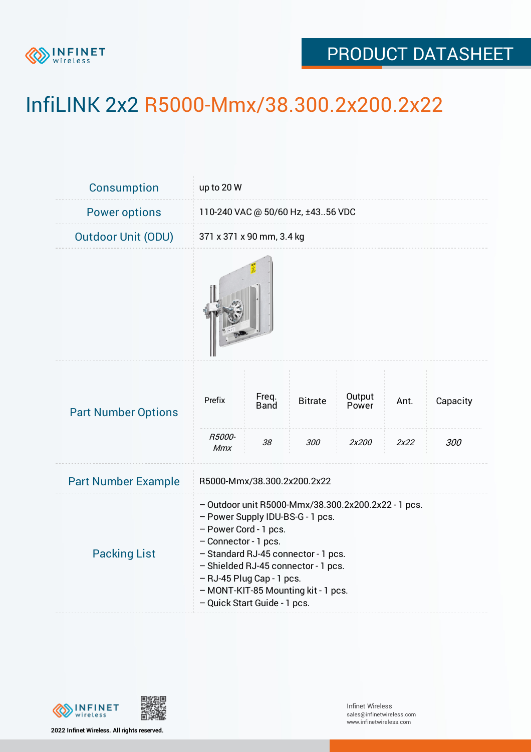

## PRODUCT DATASHEET

## InfiLINK 2x2 R5000-Mmx/38.300.2x200.2x22

| Consumption                | up to 20 W                                                                                                                                                                                                                                                                                                                 |                            |                       |                          |              |                 |  |  |
|----------------------------|----------------------------------------------------------------------------------------------------------------------------------------------------------------------------------------------------------------------------------------------------------------------------------------------------------------------------|----------------------------|-----------------------|--------------------------|--------------|-----------------|--|--|
| <b>Power options</b>       | 110-240 VAC @ 50/60 Hz, ±4356 VDC                                                                                                                                                                                                                                                                                          |                            |                       |                          |              |                 |  |  |
| <b>Outdoor Unit (ODU)</b>  |                                                                                                                                                                                                                                                                                                                            | 371 x 371 x 90 mm, 3.4 kg  |                       |                          |              |                 |  |  |
|                            |                                                                                                                                                                                                                                                                                                                            |                            |                       |                          |              |                 |  |  |
| <b>Part Number Options</b> | Prefix<br>R5000-<br>Mmx                                                                                                                                                                                                                                                                                                    | Freq.<br><b>Band</b><br>38 | <b>Bitrate</b><br>300 | Output<br>Power<br>2x200 | Ant.<br>2x22 | Capacity<br>300 |  |  |
| <b>Part Number Example</b> | R5000-Mmx/38.300.2x200.2x22                                                                                                                                                                                                                                                                                                |                            |                       |                          |              |                 |  |  |
| <b>Packing List</b>        | - Outdoor unit R5000-Mmx/38.300.2x200.2x22 - 1 pcs.<br>- Power Supply IDU-BS-G - 1 pcs.<br>- Power Cord - 1 pcs.<br>- Connector - 1 pcs.<br>- Standard RJ-45 connector - 1 pcs.<br>- Shielded RJ-45 connector - 1 pcs.<br>- RJ-45 Plug Cap - 1 pcs.<br>- MONT-KIT-85 Mounting kit - 1 pcs.<br>- Quick Start Guide - 1 pcs. |                            |                       |                          |              |                 |  |  |



**2022 Infinet Wireless. All rights reserved.**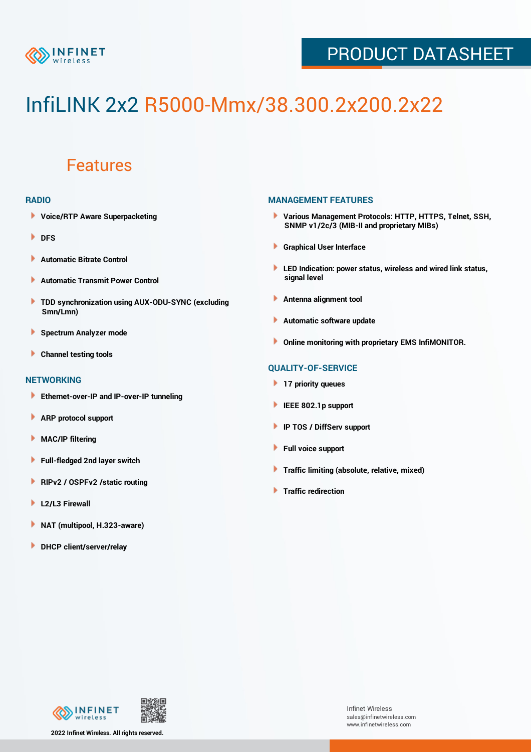

## PRODUCT DATASHEET

# InfiLINK 2x2 R5000-Mmx/38.300.2x200.2x22

### Features

#### **RADIO**

- **Voice/RTP Aware Superpacketing**
- **DFS**
- **Automatic Bitrate Control** Þ
- Þ **Automatic Transmit Power Control**
- ь **TDD synchronization using AUX-ODU-SYNC (excluding Smn/Lmn)**
- **Spectrum Analyzer mode** ۰
- **Channel testing tools** ١

#### **NETWORKING**

- **Ethernet-over-IP and IP-over-IP tunneling**
- Þ **ARP protocol support**
- ۱ **MAC/IP filtering**
- Þ **Full-fledged 2nd layer switch**
- Þ **RIPv2 / OSPFv2 /static routing**
- **L2/L3 Firewall** Þ
- **NAT (multipool, H.323-aware)** Þ
- Þ **DHCP client/server/relay**

#### **MANAGEMENT FEATURES**

- **Various Management Protocols: HTTP, HTTPS, Telnet, SSH, SNMP v1/2c/3 (MIB-II and proprietary MIBs)**
- **Graphical User Interface**
- **LED Indication: power status, wireless and wired link status, signal level**
- **Antenna alignment tool**
- ٠ **Automatic software update**
- **Online monitoring with proprietary EMS InfiMONITOR.**

#### **QUALITY-OF-SERVICE**

- **17 priority queues**
- **IEEE 802.1p support**
- **IP TOS / DiffServ support**
- ٠ **Full voice support**
- **Traffic limiting (absolute, relative, mixed)** ٠
- **Traffic redirection**